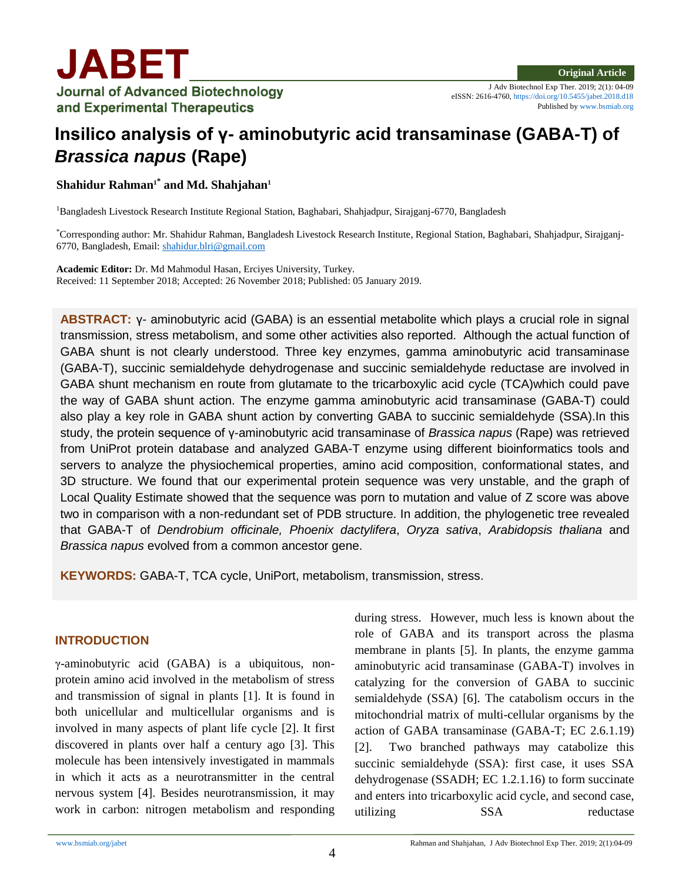

J Adv Biotechnol Exp Ther. 2019; 2(1): 04-09 eISSN: 2616-4760, <https://doi.org/10.5455/jabet.2018.d18> Published b[y www.bsmiab.org](http://www.bsmiab.org/)

# **Insilico analysis of γ- aminobutyric acid transaminase (GABA-T) of**  *Brassica napus* **(Rape)**

**Shahidur Rahman1\* and Md. Shahjahan<sup>1</sup>**

<sup>1</sup>Bangladesh Livestock Research Institute Regional Station, Baghabari, Shahjadpur, Sirajganj-6770, Bangladesh

\*Corresponding author: Mr. Shahidur Rahman, Bangladesh Livestock Research Institute, Regional Station, Baghabari, Shahjadpur, Sirajganj-6770, Bangladesh, Email: [shahidur.blri@gmail.com](mailto:shahidur.blri@gmail.com)

**Academic Editor:** Dr. Md Mahmodul Hasan, Erciyes University, Turkey. Received: 11 September 2018; Accepted: 26 November 2018; Published: 05 January 2019.

**ABSTRACT:** γ- aminobutyric acid (GABA) is an essential metabolite which plays a crucial role in signal transmission, stress metabolism, and some other activities also reported. Although the actual function of GABA shunt is not clearly understood. Three key enzymes, gamma aminobutyric acid transaminase (GABA-T), succinic semialdehyde dehydrogenase and succinic semialdehyde reductase are involved in GABA shunt mechanism en route from glutamate to the tricarboxylic acid cycle (TCA)which could pave the way of GABA shunt action. The enzyme gamma aminobutyric acid transaminase (GABA-T) could also play a key role in GABA shunt action by converting GABA to succinic semialdehyde (SSA).In this study, the protein sequence of γ-aminobutyric acid transaminase of *Brassica napus* (Rape) was retrieved from UniProt protein database and analyzed GABA-T enzyme using different bioinformatics tools and servers to analyze the physiochemical properties, amino acid composition, conformational states, and 3D structure. We found that our experimental protein sequence was very unstable, and the graph of Local Quality Estimate showed that the sequence was porn to mutation and value of Z score was above two in comparison with a non-redundant set of PDB structure. In addition, the phylogenetic tree revealed that GABA-T of *Dendrobium officinale, Phoenix dactylifera*, *Oryza sativa*, *Arabidopsis thaliana* and *Brassica napus* evolved from a common ancestor gene.

**KEYWORDS:** GABA-T, TCA cycle, UniPort, metabolism, transmission, stress.

## **INTRODUCTION**

γ-aminobutyric acid (GABA) is a ubiquitous, nonprotein amino acid involved in the metabolism of stress and transmission of signal in plants [1]. It is found in both unicellular and multicellular organisms and is involved in many aspects of plant life cycle [2]. It first discovered in plants over half a century ago [3]. This molecule has been intensively investigated in mammals in which it acts as a neurotransmitter in the central nervous system [4]. Besides neurotransmission, it may work in carbon: nitrogen metabolism and responding during stress. However, much less is known about the role of GABA and its transport across the plasma membrane in plants [5]. In plants, the enzyme gamma aminobutyric acid transaminase (GABA-T) involves in catalyzing for the conversion of GABA to succinic semialdehyde (SSA) [6]. The catabolism occurs in the mitochondrial matrix of multi-cellular organisms by the action of GABA transaminase (GABA-T; EC 2.6.1.19) [2]. Two branched pathways may catabolize this succinic semialdehyde (SSA): first case, it uses SSA dehydrogenase (SSADH; EC 1.2.1.16) to form succinate and enters into tricarboxylic acid cycle, and second case, utilizing SSA reductase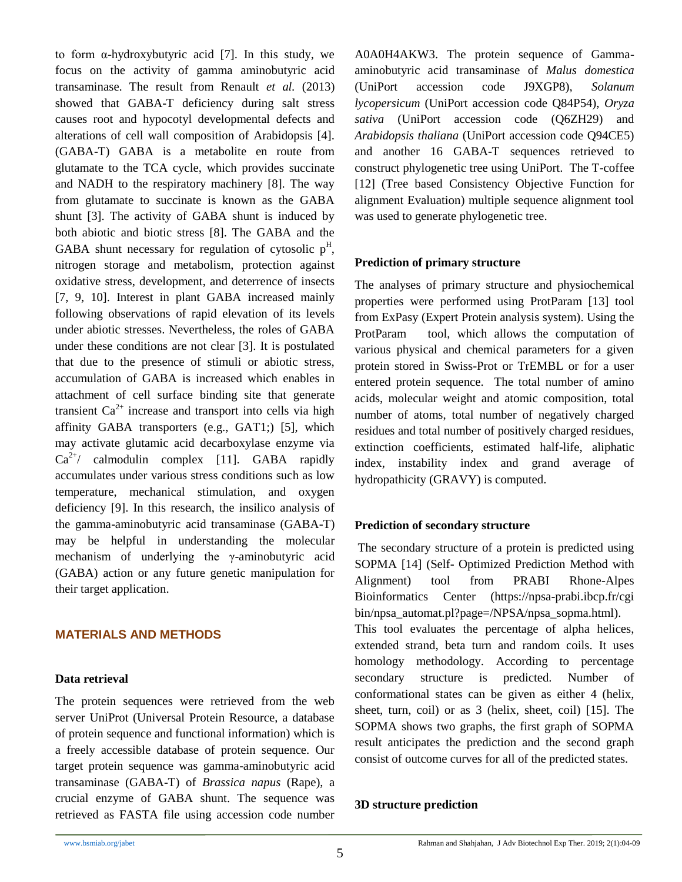to form  $\alpha$ -hydroxybutyric acid [7]. In this study, we focus on the activity of gamma aminobutyric acid transaminase. The result from Renault *et al.* (2013) showed that GABA-T deficiency during salt stress causes root and hypocotyl developmental defects and alterations of cell wall composition of Arabidopsis [4]. (GABA-T) GABA is a metabolite en route from glutamate to the TCA cycle, which provides succinate and NADH to the respiratory machinery [8]. The way from glutamate to succinate is known as the GABA shunt [3]. The activity of GABA shunt is induced by both abiotic and biotic stress [8]. The GABA and the GABA shunt necessary for regulation of cytosolic  $p<sup>H</sup>$ , nitrogen storage and metabolism, protection against oxidative stress, development, and deterrence of insects [7, 9, 10]. Interest in plant GABA increased mainly following observations of rapid elevation of its levels under abiotic stresses. Nevertheless, the roles of GABA under these conditions are not clear [3]. It is postulated that due to the presence of stimuli or abiotic stress, accumulation of GABA is increased which enables in attachment of cell surface binding site that generate transient  $Ca^{2+}$  increase and transport into cells via high affinity GABA transporters (e.g., GAT1;) [5], which may activate glutamic acid decarboxylase enzyme via  $Ca^{2+}$ / calmodulin complex [11]. GABA rapidly accumulates under various stress conditions such as low temperature, mechanical stimulation, and oxygen deficiency [9]. In this research, the insilico analysis of the gamma-aminobutyric acid transaminase (GABA-T) may be helpful in understanding the molecular mechanism of underlying the γ-aminobutyric acid (GABA) action or any future genetic manipulation for their target application.

## **MATERIALS AND METHODS**

#### **Data retrieval**

The protein sequences were retrieved from the web server UniProt (Universal Protein Resource, a database of protein sequence and functional information) which is a freely accessible database of protein sequence. Our target protein sequence was gamma-aminobutyric acid transaminase (GABA-T) of *Brassica napus* (Rape), a crucial enzyme of GABA shunt. The sequence was retrieved as FASTA file using accession code number A0A0H4AKW3. The protein sequence of Gammaaminobutyric acid transaminase of *Malus domestica* (UniPort accession code J9XGP8), *Solanum lycopersicum* (UniPort accession code Q84P54), *Oryza sativa* (UniPort accession code (Q6ZH29) and *Arabidopsis thaliana* (UniPort accession code Q94CE5) and another 16 GABA-T sequences retrieved to construct phylogenetic tree using UniPort. The T-coffee [12] (Tree based Consistency Objective Function for alignment Evaluation) multiple sequence alignment tool was used to generate phylogenetic tree.

## **Prediction of primary structure**

The analyses of primary structure and physiochemical properties were performed using ProtParam [13] tool from ExPasy (Expert Protein analysis system). Using the ProtParam tool, which allows the computation of various physical and chemical parameters for a given protein stored in Swiss-Prot or TrEMBL or for a user entered protein sequence. The total number of amino acids, molecular weight and atomic composition, total number of atoms, total number of negatively charged residues and total number of positively charged residues, extinction coefficients, estimated half-life, aliphatic index, instability index and grand average of hydropathicity (GRAVY) is computed.

## **Prediction of secondary structure**

The secondary structure of a protein is predicted using SOPMA [14] (Self- Optimized Prediction Method with Alignment) tool from PRABI Rhone-Alpes Bioinformatics Center (https://npsa-prabi.ibcp.fr/cgi bin/npsa\_automat.pl?page=/NPSA/npsa\_sopma.html).

This tool evaluates the percentage of alpha helices, extended strand, beta turn and random coils. It uses homology methodology. According to percentage secondary structure is predicted. Number of conformational states can be given as either 4 (helix, sheet, turn, coil) or as 3 (helix, sheet, coil) [15]. The SOPMA shows two graphs, the first graph of SOPMA result anticipates the prediction and the second graph consist of outcome curves for all of the predicted states.

## **3D structure prediction**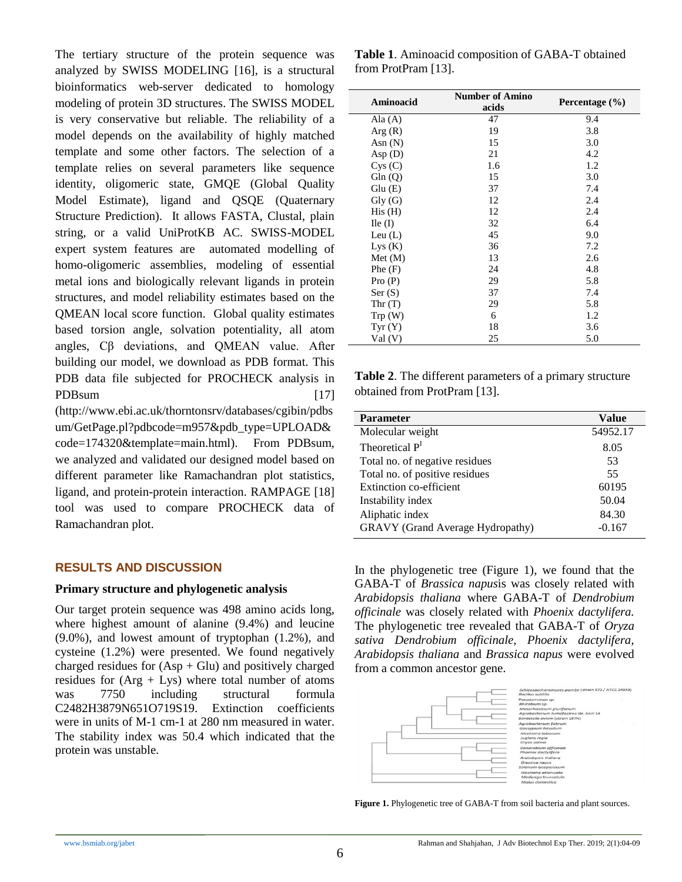The tertiary structure of the protein sequence was analyzed by SWISS MODELING [16], is a structural bioinformatics web-server dedicated to homology modeling of protein 3D structures. The SWISS MODEL is very conservative but reliable. The reliability of a model depends on the availability of highly matched template and some other factors. The selection of a template relies on several parameters like sequence identity, oligomeric state, GMQE (Global Quality Model Estimate), ligand and QSQE (Quaternary Structure Prediction). It allows FASTA, Clustal, plain string, or a valid UniProtKB AC. SWISS-MODEL expert system features are automated modelling of homo-oligomeric assemblies, modeling of essential metal ions and biologically relevant ligands in protein structures, and model reliability estimates based on the QMEAN local score function. Global quality estimates based torsion angle, solvation potentiality, all atom angles, Cβ deviations, and QMEAN value. After building our model, we download as PDB format. This PDB data file subjected for PROCHECK analysis in PDBsum [17] (http://www.ebi.ac.uk/thorntonsrv/databases/cgibin/pdbs

um/GetPage.pl?pdbcode=m957&pdb\_type=UPLOAD& code=174320&template=main.html). From PDBsum, we analyzed and validated our designed model based on different parameter like Ramachandran plot statistics, ligand, and protein-protein interaction. RAMPAGE [18] tool was used to compare PROCHECK data of Ramachandran plot.

# **RESULTS AND DISCUSSION**

#### **Primary structure and phylogenetic analysis**

Our target protein sequence was 498 amino acids long, where highest amount of alanine (9.4%) and leucine (9.0%), and lowest amount of tryptophan (1.2%), and cysteine (1.2%) were presented. We found negatively charged residues for  $(Asp + Glu)$  and positively charged residues for  $(Arg + Lys)$  where total number of atoms was 7750 including structural formula C2482H3879N651O719S19. Extinction coefficients were in units of M-1 cm-1 at 280 nm measured in water. The stability index was 50.4 which indicated that the protein was unstable.

**Table 1**. Aminoacid composition of GABA-T obtained from ProtPram [13].

| Aminoacid                             | <b>Number of Amino</b><br>acids | Percentage $(\% )$ |
|---------------------------------------|---------------------------------|--------------------|
| Ala $(A)$                             | 47                              | 9.4                |
| Arg(R)                                | 19                              | 3.8                |
| Asn $(N)$                             | 15                              | 3.0                |
| Asp(D)                                | 21                              | 4.2                |
| Cys(C)                                | 1.6                             | 1.2                |
| Gln(Q)                                | 15                              | 3.0                |
| Glu(E)                                | 37                              | 7.4                |
| $\mathrm{Gly}\left(\mathrm{G}\right)$ | 12                              | 2.4                |
| His(H)                                | 12                              | 2.4                |
| $\text{I}$ le (I)                     | 32                              | 6.4                |
| Leu $(L)$                             | 45                              | 9.0                |
| Lys(K)                                | 36                              | 7.2                |
| Met (M)                               | 13                              | 2.6                |
| Phe(F)                                | 24                              | 4.8                |
| Pro(P)                                | 29                              | 5.8                |
| Ser(S)                                | 37                              | 7.4                |
| Thr(T)                                | 29                              | 5.8                |
| Trp(W)                                | 6                               | 1.2                |
| Tyr(Y)                                | 18                              | 3.6                |
| Val (V)                               | 25                              | 5.0                |

**Table 2**. The different parameters of a primary structure obtained from ProtPram [13].

| <b>Parameter</b>                        | Value    |
|-----------------------------------------|----------|
| Molecular weight                        | 54952.17 |
| Theoretical P <sup>I</sup>              | 8.05     |
| Total no. of negative residues          | 53       |
| Total no. of positive residues          | 55       |
| Extinction co-efficient                 | 60195    |
| Instability index                       | 50.04    |
| Aliphatic index                         | 84.30    |
| <b>GRAVY</b> (Grand Average Hydropathy) | $-0.167$ |

In the phylogenetic tree (Figure 1), we found that the GABA-T of *Brassica napus*is was closely related with *Arabidopsis thaliana* where GABA-T of *Dendrobium officinale* was closely related with *Phoenix dactylifera.*  The phylogenetic tree revealed that GABA-T of *Oryza sativa Dendrobium officinale, Phoenix dactylifera, Arabidopsis thaliana* and *Brassica napus* were evolved from a common ancestor gene.



Figure 1. Phylogenetic tree of GABA-T from soil bacteria and plant sources.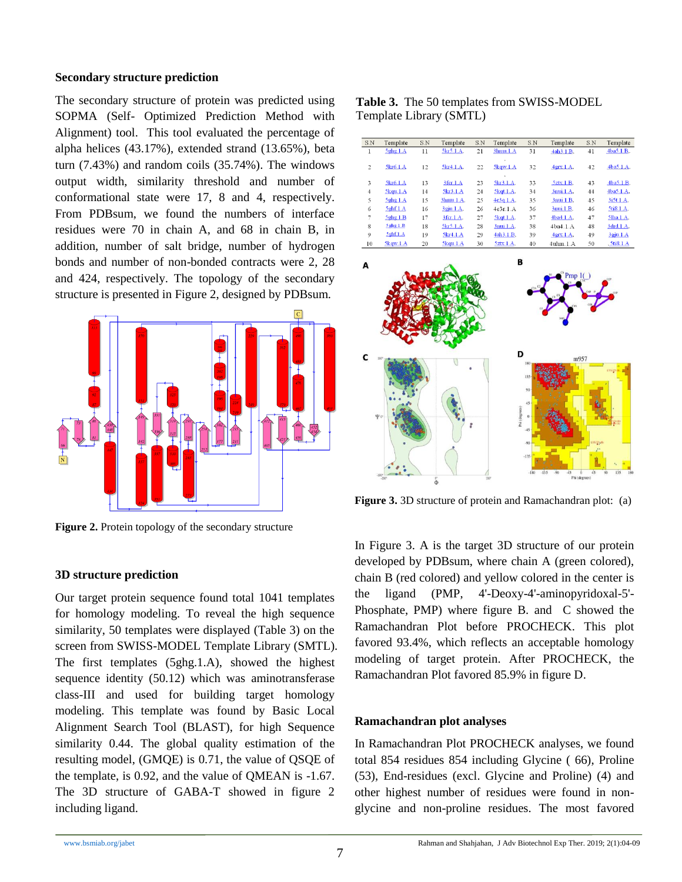#### **Secondary structure prediction**

The secondary structure of protein was predicted using SOPMA (Self- Optimized Prediction Method with Alignment) tool. This tool evaluated the percentage of alpha helices (43.17%), extended strand (13.65%), beta turn (7.43%) and random coils (35.74%). The windows output width, similarity threshold and number of conformational state were 17, 8 and 4, respectively. From PDBsum, we found the numbers of interface residues were 70 in chain A, and 68 in chain B, in addition, number of salt bridge, number of hydrogen bonds and number of non-bonded contracts were 2, 28 and 424, respectively. The topology of the secondary structure is presented in Figure 2, designed by PDBsum.



Figure 2. Protein topology of the secondary structure

## **3D structure prediction**

Our target protein sequence found total 1041 templates for homology modeling. To reveal the high sequence similarity, 50 templates were displayed (Table 3) on the screen from SWISS-MODEL Template Library (SMTL). The first templates (5ghg.1.A), showed the highest sequence identity (50.12) which was aminotransferase class-III and used for building target homology modeling. This template was found by Basic Local Alignment Search Tool (BLAST), for high Sequence similarity 0.44. The global quality estimation of the resulting model, (GMQE) is 0.71, the value of QSQE of the template, is 0.92, and the value of QMEAN is -1.67. The 3D structure of GABA-T showed in figure 2 including ligand.

**Table 3.** The 50 templates from SWISS-MODEL Template Library (SMTL)

| S.N            | Template       | S.N | Template  | S.N | Template           | S.N | Template         | S.N | Template       |
|----------------|----------------|-----|-----------|-----|--------------------|-----|------------------|-----|----------------|
| 1              | 5ghg1.A        | 11  | 5kr5.1.A. | 21  | 3hmu.1.A           | 31  | 4ah3.1.B.        | 41  | 4ba5.1.B.      |
| $\overline{c}$ | 5kr6.1.A       | 12  | 5kr4.1.A. | 22  | 5kqw.1.A           | 32  | 4gX.1.A.         | 42  | 4ba5.1.A.      |
| 3              | 5kr6.1.A       | 13  | 3fcr.1.A  | 23  | 5kr3.1.A.          | 33  | 5ztx.1.B.        | 43  | 4ba5.1.B.      |
| $\overline{4}$ | $5$ kqu. $1.A$ | 14  | 5kr3.1.A  | 24  | $5$ kqt. $1.A.$    | 34  | 3nui.1.A.        | 44  | 4ba5.1.A.      |
| 5              | 5ghg.1.A       | 15  | 3hmu.1.A. | 25  | 4e3q.1.A.          | 35  | 3nui.1.B.        | 45  | 3i5t.1.A.      |
| 6              | $5$ ghf. $1.A$ | 16  | 3gju.1.A. | 26  | 4e3r.1.A           | 36  | 3nui.1.B.        | 46  | 5ti8.1.A.      |
| 7              | 5ghg1.B        | 17  | 3fcr.1.A. | 27  | $5$ $k$ gt. $1.A.$ | 37  | 4ba4.1.A.        | 47  | 5lha.1.A.      |
| 8              | $5$ ghg. $1.B$ | 18  | 5kr5.1.A. | 28  | 3nui.1.A.          | 38  | 4ba4.1.A         | 48  | 3drd.1.A.      |
| 9              | $5$ ghf $1.A$  | 19  | 5kr4.1.A  | 29  | 4ah3.1.B.          | 39  | $4$ grx.1. $A$ . | 49  | 3gju.1.A       |
| 10             | 5kqw.1.A       | 20  | 5kqu.1.A  | 30  | 5ztx.1.A.          | 40  | $4$ uhm. $1.A$   | 50  | $5t$ is. $1.A$ |
| А              |                |     |           |     | в                  |     | Pmp1()           |     |                |



**Figure 3.** 3D structure of protein and Ramachandran plot: (a)

In Figure 3. A is the target 3D structure of our protein developed by PDBsum, where chain A (green colored), chain B (red colored) and yellow colored in the center is the ligand (PMP, 4'-Deoxy-4'-aminopyridoxal-5'- Phosphate, PMP) where figure B. and C showed the Ramachandran Plot before PROCHECK. This plot favored 93.4%, which reflects an acceptable homology modeling of target protein. After PROCHECK, the Ramachandran Plot favored 85.9% in figure D.

# **Ramachandran plot analyses**

In Ramachandran Plot PROCHECK analyses, we found total 854 residues 854 including Glycine ( 66), Proline (53), End-residues (excl. Glycine and Proline) (4) and other highest number of residues were found in nonglycine and non-proline residues. The most favored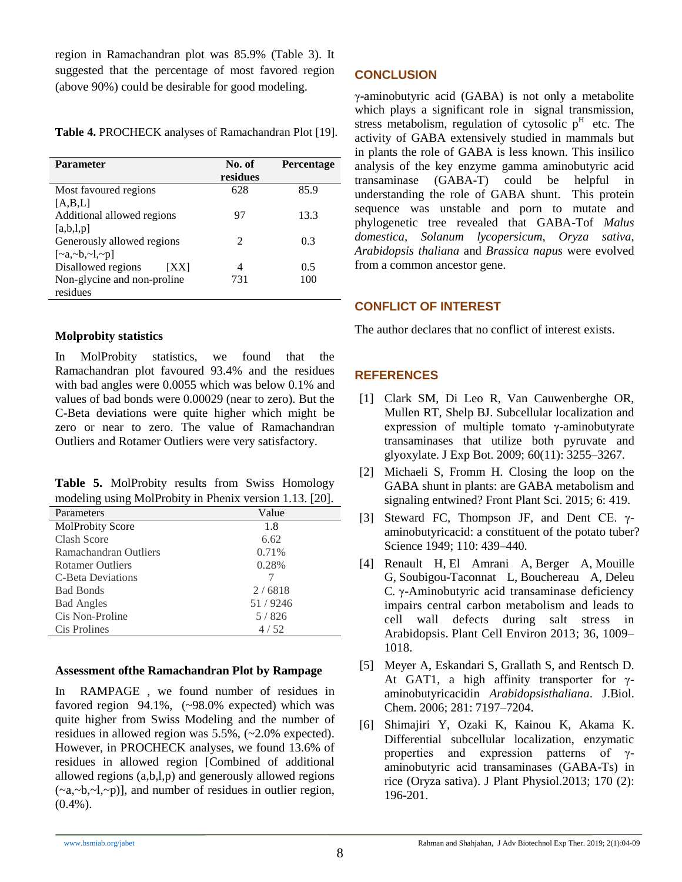region in Ramachandran plot was 85.9% (Table 3). It suggested that the percentage of most favored region (above 90%) could be desirable for good modeling.

**Table 4.** PROCHECK analyses of Ramachandran Plot [19].

| <b>Parameter</b>                   | No. of<br>residues          | <b>Percentage</b> |
|------------------------------------|-----------------------------|-------------------|
| Most favoured regions              | 628                         | 85.9              |
| [A,B,L]                            |                             |                   |
| Additional allowed regions         | 97                          | 13.3              |
| [a,b,l,p]                          |                             |                   |
| Generously allowed regions         | $\mathcal{D}_{\mathcal{A}}$ | 0.3               |
| $[\sim a, \sim b, \sim l, \sim p]$ |                             |                   |
| Disallowed regions<br>IXXI         | Δ                           | 0.5               |
| Non-glycine and non-proline        | 731                         | 100               |
| residues                           |                             |                   |

# **Molprobity statistics**

In MolProbity statistics, we found that the Ramachandran plot favoured 93.4% and the residues with bad angles were 0.0055 which was below 0.1% and values of bad bonds were 0.00029 (near to zero). But the C-Beta deviations were quite higher which might be zero or near to zero. The value of Ramachandran Outliers and Rotamer Outliers were very satisfactory.

**Table 5.** MolProbity results from Swiss Homology modeling using [MolProbity](https://swissmodel.expasy.org/docs/references#molprobity) in [Phenix](https://swissmodel.expasy.org/docs/references#phenix) version 1.13. [20].

| Parameters              | Value   |
|-------------------------|---------|
| <b>MolProbity Score</b> | 1.8     |
| Clash Score             | 6.62    |
| Ramachandran Outliers   | 0.71%   |
| <b>Rotamer Outliers</b> | 0.28%   |
| C-Beta Deviations       |         |
| <b>Bad Bonds</b>        | 2/6818  |
| <b>Bad Angles</b>       | 51/9246 |
| Cis Non-Proline         | 5/826   |
| Cis Prolines            | 4/52    |

## **Assessment ofthe Ramachandran Plot by Rampage**

In RAMPAGE , we found number of residues in favored region 94.1%, (~98.0% expected) which was quite higher from Swiss Modeling and the number of residues in allowed region was 5.5%, (~2.0% expected). However, in PROCHECK analyses, we found 13.6% of residues in allowed region [Combined of additional allowed regions (a,b,l,p) and generously allowed regions  $(\sim a, \sim b, \sim l, \sim p)$ ], and number of residues in outlier region,  $(0.4\%)$ .

# **CONCLUSION**

γ-aminobutyric acid (GABA) is not only a metabolite which plays a significant role in signal transmission, stress metabolism, regulation of cytosolic  $p<sup>H</sup>$  etc. The activity of GABA extensively studied in mammals but in plants the role of GABA is less known. This insilico analysis of the key enzyme gamma aminobutyric acid transaminase (GABA-T) could be helpful in understanding the role of GABA shunt. This protein sequence was unstable and porn to mutate and phylogenetic tree revealed that GABA-Tof *Malus domestica, Solanum lycopersicum*, *Oryza sativa*, *Arabidopsis thaliana* and *Brassica napus* were evolved from a common ancestor gene.

# **CONFLICT OF INTEREST**

The author declares that no conflict of interest exists.

# **REFERENCES**

- [1] Clark SM, Di Leo R, Van Cauwenberghe OR, Mullen RT, Shelp BJ. Subcellular localization and expression of multiple tomato γ-aminobutyrate transaminases that utilize both pyruvate and glyoxylate. [J Exp Bot.](https://www.ncbi.nlm.nih.gov/pmc/articles/PMC2718222/) 2009; 60(11): 3255–3267.
- [2] Michaeli S, Fromm H. Closing the loop on the GABA shunt in plants: are GABA metabolism and signaling entwined? [Front Plant Sci.](https://www.ncbi.nlm.nih.gov/pmc/articles/PMC4460296/) 2015; 6: 419.
- [3] Steward FC, Thompson JF, and Dent CE. γaminobutyricacid: a constituent of the potato tuber? Science 1949; 110: 439–440.
- [4] [Renault H,](https://www.ncbi.nlm.nih.gov/pubmed/?term=Renault%20H%5BAuthor%5D&cauthor=true&cauthor_uid=23148892) [El Amrani A,](https://www.ncbi.nlm.nih.gov/pubmed/?term=El%20Amrani%20A%5BAuthor%5D&cauthor=true&cauthor_uid=23148892) [Berger A,](https://www.ncbi.nlm.nih.gov/pubmed/?term=Berger%20A%5BAuthor%5D&cauthor=true&cauthor_uid=23148892) [Mouille](https://www.ncbi.nlm.nih.gov/pubmed/?term=Mouille%20G%5BAuthor%5D&cauthor=true&cauthor_uid=23148892)  [G,](https://www.ncbi.nlm.nih.gov/pubmed/?term=Mouille%20G%5BAuthor%5D&cauthor=true&cauthor_uid=23148892) [Soubigou-Taconnat L,](https://www.ncbi.nlm.nih.gov/pubmed/?term=Soubigou-Taconnat%20L%5BAuthor%5D&cauthor=true&cauthor_uid=23148892) [Bouchereau A,](https://www.ncbi.nlm.nih.gov/pubmed/?term=Bouchereau%20A%5BAuthor%5D&cauthor=true&cauthor_uid=23148892) [Deleu](https://www.ncbi.nlm.nih.gov/pubmed/?term=Deleu%20C%5BAuthor%5D&cauthor=true&cauthor_uid=23148892)  [C](https://www.ncbi.nlm.nih.gov/pubmed/?term=Deleu%20C%5BAuthor%5D&cauthor=true&cauthor_uid=23148892)*.* γ-Aminobutyric acid transaminase deficiency impairs central carbon metabolism and leads to cell wall defects during salt stress in Arabidopsis. Plant Cell Environ 2013; 36, 1009– 1018.
- [5] Meyer A, Eskandari S, Grallath S, and Rentsch D. At GAT1, a high affinity transporter for γaminobutyricacidin *Arabidopsisthaliana*. J.Biol. Chem. 2006; 281: 7197–7204.
- [6] Shimajiri Y, Ozaki K, Kainou K, Akama K. Differential subcellular localization, enzymatic properties and expression patterns of γaminobutyric acid transaminases (GABA-Ts) in rice (Oryza sativa). [J Plant Physiol.2](https://www.ncbi.nlm.nih.gov/pubmed/23122787)013; 170 (2): 196-201.